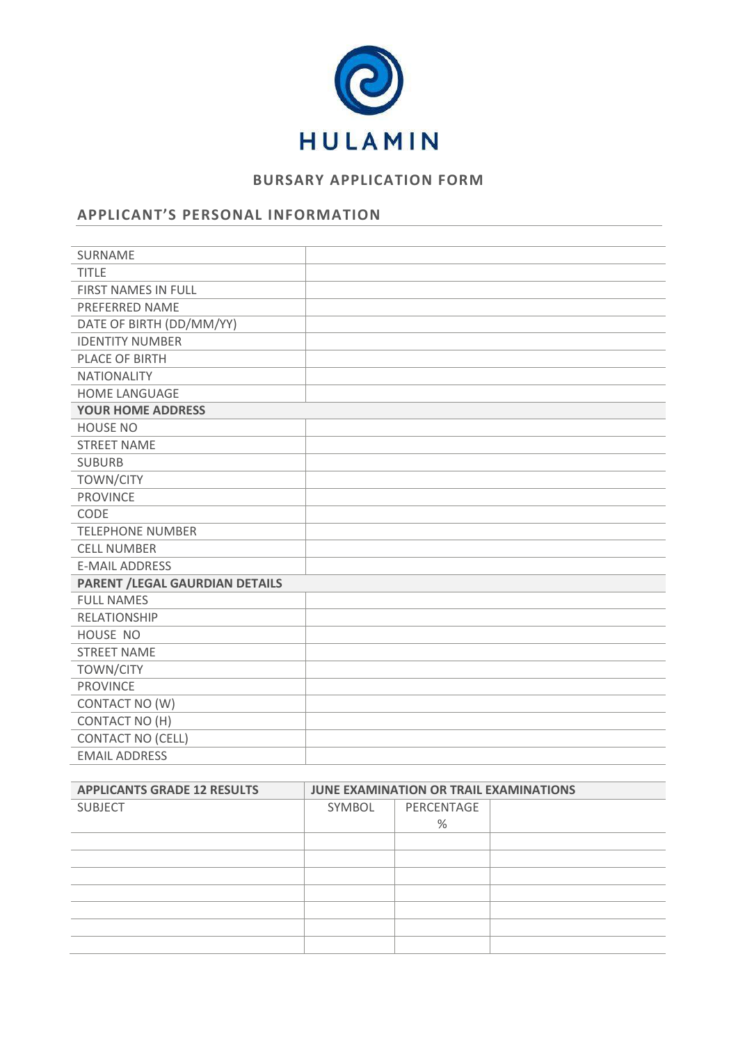

# **BURSARY APPLICATION FORM**

## **APPLICANT'S PERSONAL INFORMATION**

| SURNAME                               |  |
|---------------------------------------|--|
| <b>TITLE</b>                          |  |
| FIRST NAMES IN FULL                   |  |
| PREFERRED NAME                        |  |
| DATE OF BIRTH (DD/MM/YY)              |  |
| <b>IDENTITY NUMBER</b>                |  |
| PLACE OF BIRTH                        |  |
| <b>NATIONALITY</b>                    |  |
| HOME LANGUAGE                         |  |
| <b>YOUR HOME ADDRESS</b>              |  |
| <b>HOUSE NO</b>                       |  |
| <b>STREET NAME</b>                    |  |
| <b>SUBURB</b>                         |  |
| <b>TOWN/CITY</b>                      |  |
| <b>PROVINCE</b>                       |  |
| CODE                                  |  |
| <b>TELEPHONE NUMBER</b>               |  |
| <b>CELL NUMBER</b>                    |  |
| <b>E-MAIL ADDRESS</b>                 |  |
| <b>PARENT /LEGAL GAURDIAN DETAILS</b> |  |
| <b>FULL NAMES</b>                     |  |
| <b>RELATIONSHIP</b>                   |  |
| HOUSE NO                              |  |
| <b>STREET NAME</b>                    |  |
| <b>TOWN/CITY</b>                      |  |
| <b>PROVINCE</b>                       |  |
| CONTACT NO (W)                        |  |
| <b>CONTACT NO (H)</b>                 |  |
| <b>CONTACT NO (CELL)</b>              |  |
| <b>EMAIL ADDRESS</b>                  |  |

| <b>APPLICANTS GRADE 12 RESULTS</b> | JUNE EXAMINATION OR TRAIL EXAMINATIONS |            |  |
|------------------------------------|----------------------------------------|------------|--|
| <b>SUBJECT</b>                     | SYMBOL                                 | PERCENTAGE |  |
|                                    |                                        | %          |  |
|                                    |                                        |            |  |
|                                    |                                        |            |  |
|                                    |                                        |            |  |
|                                    |                                        |            |  |
|                                    |                                        |            |  |
|                                    |                                        |            |  |
|                                    |                                        |            |  |